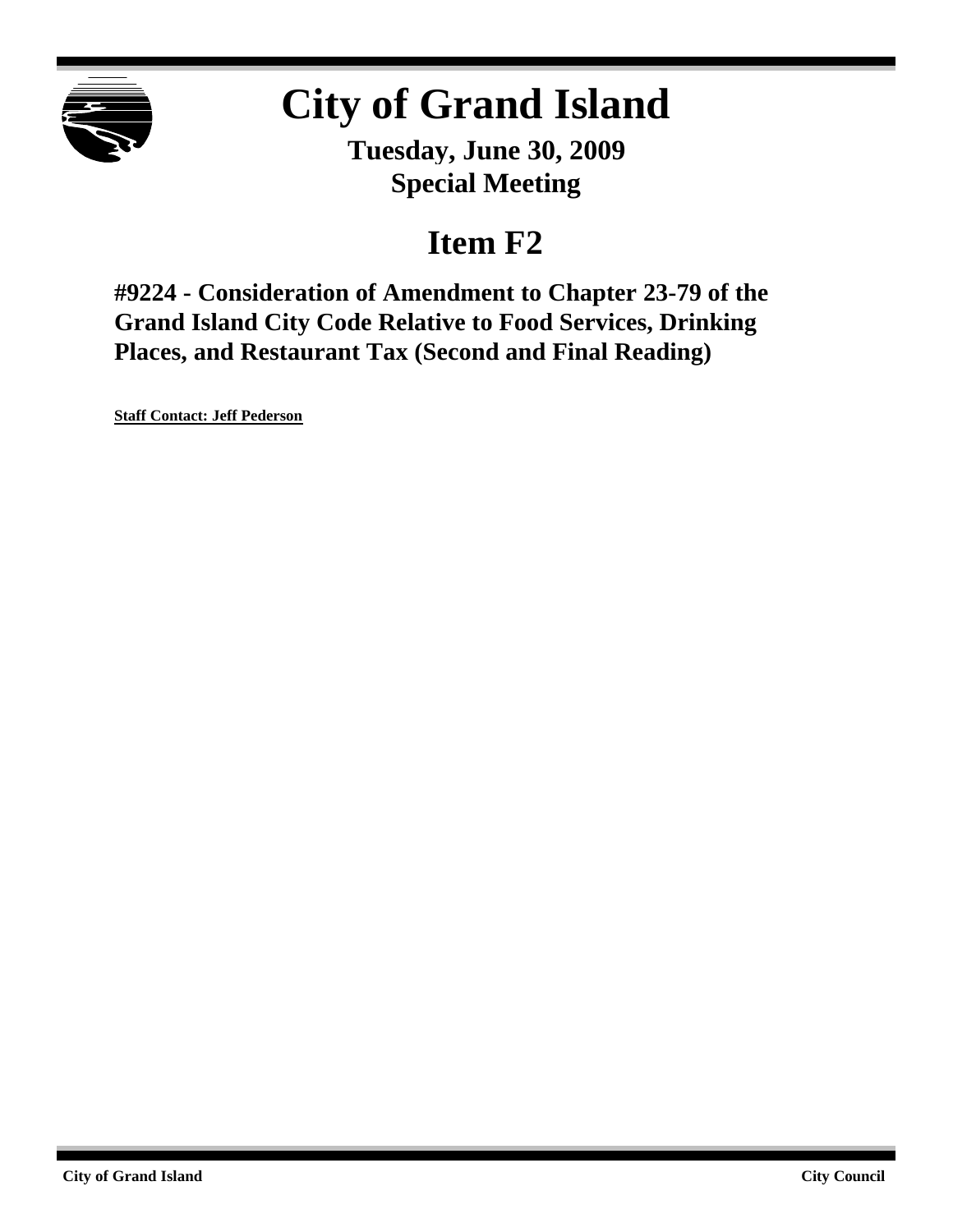

# **City of Grand Island**

**Tuesday, June 30, 2009 Special Meeting**

## **Item F2**

**#9224 - Consideration of Amendment to Chapter 23-79 of the Grand Island City Code Relative to Food Services, Drinking Places, and Restaurant Tax (Second and Final Reading)**

**Staff Contact: Jeff Pederson**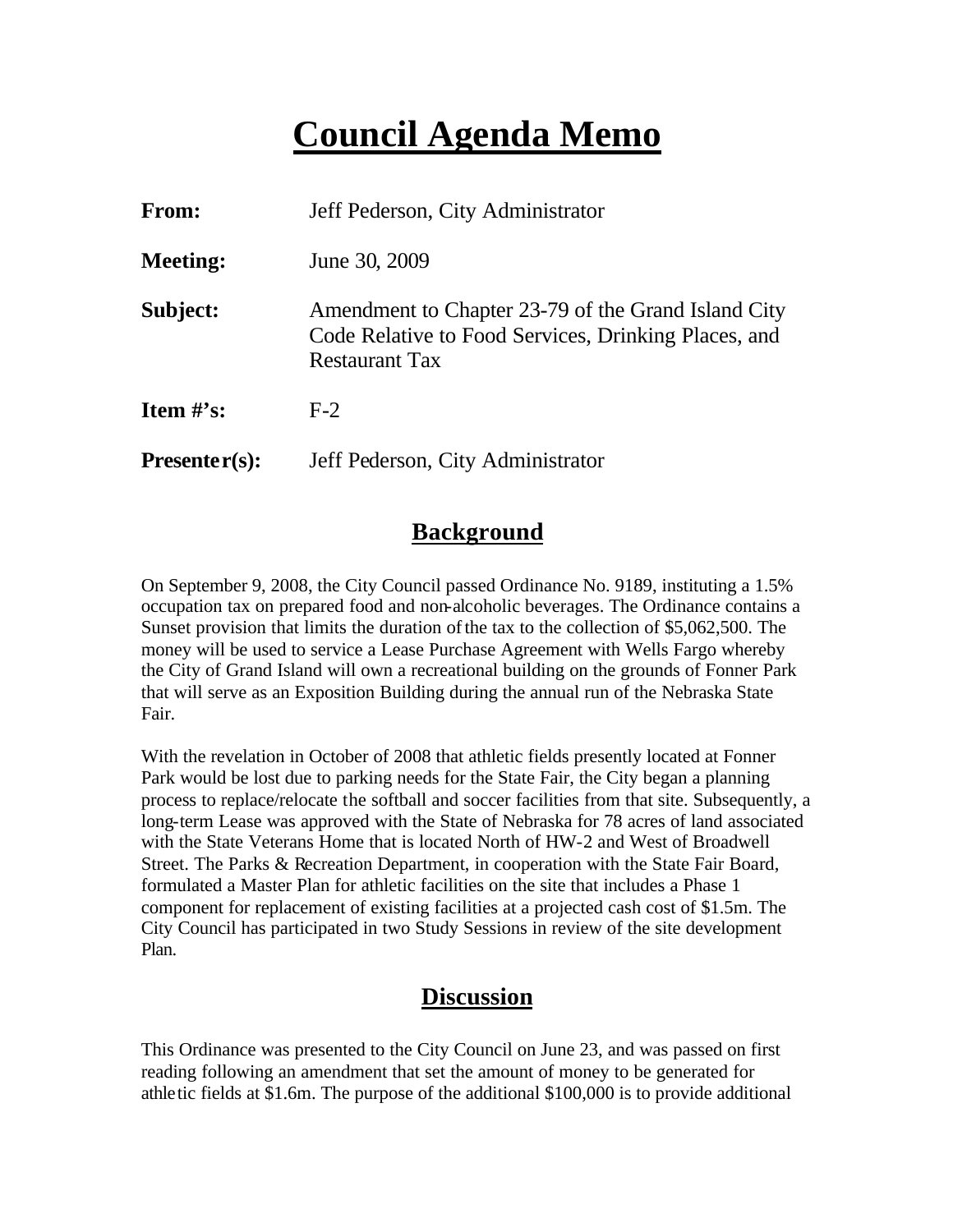## **Council Agenda Memo**

| From:           | Jeff Pederson, City Administrator                                                                                                    |
|-----------------|--------------------------------------------------------------------------------------------------------------------------------------|
| <b>Meeting:</b> | June 30, 2009                                                                                                                        |
| Subject:        | Amendment to Chapter 23-79 of the Grand Island City<br>Code Relative to Food Services, Drinking Places, and<br><b>Restaurant Tax</b> |
| Item $\#$ 's:   | $F-2$                                                                                                                                |
| $Presenter(s):$ | Jeff Pederson, City Administrator                                                                                                    |

#### **Background**

On September 9, 2008, the City Council passed Ordinance No. 9189, instituting a 1.5% occupation tax on prepared food and non-alcoholic beverages. The Ordinance contains a Sunset provision that limits the duration of the tax to the collection of \$5,062,500. The money will be used to service a Lease Purchase Agreement with Wells Fargo whereby the City of Grand Island will own a recreational building on the grounds of Fonner Park that will serve as an Exposition Building during the annual run of the Nebraska State Fair.

With the revelation in October of 2008 that athletic fields presently located at Fonner Park would be lost due to parking needs for the State Fair, the City began a planning process to replace/relocate the softball and soccer facilities from that site. Subsequently, a long-term Lease was approved with the State of Nebraska for 78 acres of land associated with the State Veterans Home that is located North of HW-2 and West of Broadwell Street. The Parks & Recreation Department, in cooperation with the State Fair Board, formulated a Master Plan for athletic facilities on the site that includes a Phase 1 component for replacement of existing facilities at a projected cash cost of \$1.5m. The City Council has participated in two Study Sessions in review of the site development Plan.

### **Discussion**

This Ordinance was presented to the City Council on June 23, and was passed on first reading following an amendment that set the amount of money to be generated for athletic fields at \$1.6m. The purpose of the additional \$100,000 is to provide additional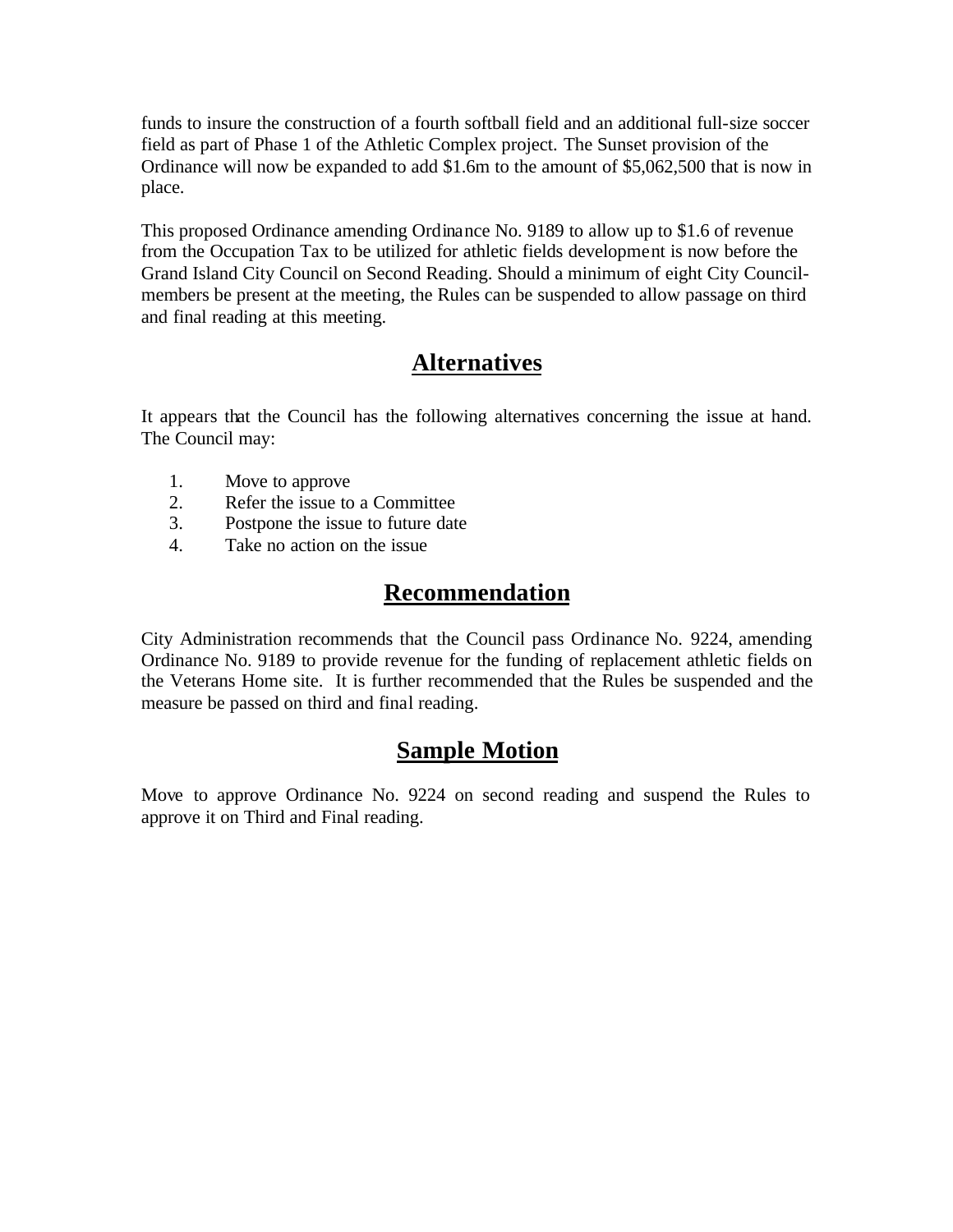funds to insure the construction of a fourth softball field and an additional full-size soccer field as part of Phase 1 of the Athletic Complex project. The Sunset provision of the Ordinance will now be expanded to add \$1.6m to the amount of \$5,062,500 that is now in place.

This proposed Ordinance amending Ordinance No. 9189 to allow up to \$1.6 of revenue from the Occupation Tax to be utilized for athletic fields development is now before the Grand Island City Council on Second Reading. Should a minimum of eight City Councilmembers be present at the meeting, the Rules can be suspended to allow passage on third and final reading at this meeting.

## **Alternatives**

It appears that the Council has the following alternatives concerning the issue at hand. The Council may:

- 1. Move to approve
- 2. Refer the issue to a Committee
- 3. Postpone the issue to future date
- 4. Take no action on the issue

## **Recommendation**

City Administration recommends that the Council pass Ordinance No. 9224, amending Ordinance No. 9189 to provide revenue for the funding of replacement athletic fields on the Veterans Home site. It is further recommended that the Rules be suspended and the measure be passed on third and final reading.

## **Sample Motion**

Move to approve Ordinance No. 9224 on second reading and suspend the Rules to approve it on Third and Final reading.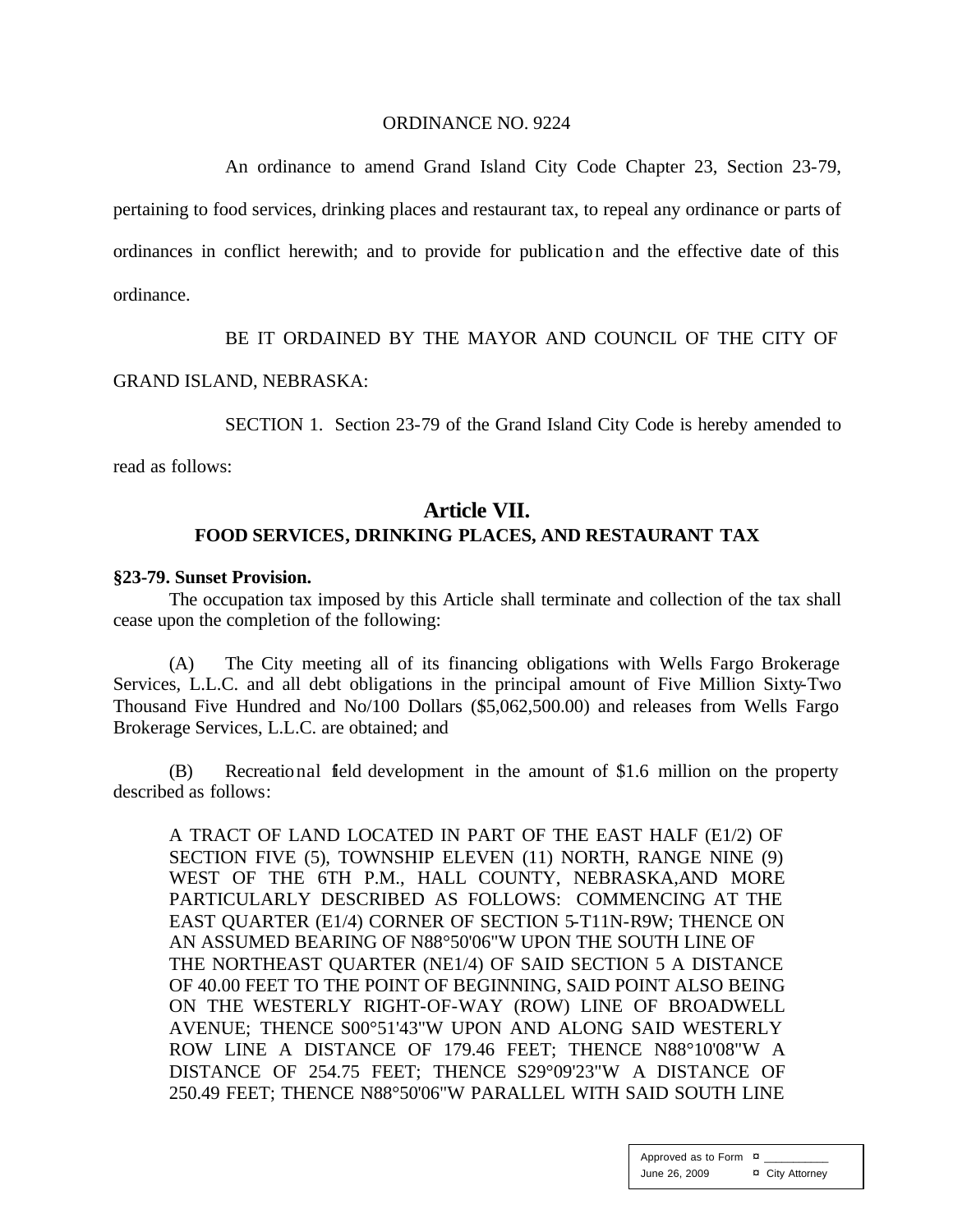#### ORDINANCE NO. 9224

An ordinance to amend Grand Island City Code Chapter 23, Section 23-79, pertaining to food services, drinking places and restaurant tax, to repeal any ordinance or parts of ordinances in conflict herewith; and to provide for publication and the effective date of this ordinance.

BE IT ORDAINED BY THE MAYOR AND COUNCIL OF THE CITY OF

#### GRAND ISLAND, NEBRASKA:

SECTION 1. Section 23-79 of the Grand Island City Code is hereby amended to

read as follows:

#### **Article VII. FOOD SERVICES, DRINKING PLACES, AND RESTAURANT TAX**

#### **§23-79. Sunset Provision.**

The occupation tax imposed by this Article shall terminate and collection of the tax shall cease upon the completion of the following:

(A) The City meeting all of its financing obligations with Wells Fargo Brokerage Services, L.L.C. and all debt obligations in the principal amount of Five Million Sixty-Two Thousand Five Hundred and No/100 Dollars (\$5,062,500.00) and releases from Wells Fargo Brokerage Services, L.L.C. are obtained; and

(B) Recreational field development in the amount of \$1.6 million on the property described as follows:

A TRACT OF LAND LOCATED IN PART OF THE EAST HALF (E1/2) OF SECTION FIVE (5), TOWNSHIP ELEVEN (11) NORTH, RANGE NINE (9) WEST OF THE 6TH P.M., HALL COUNTY, NEBRASKA,AND MORE PARTICULARLY DESCRIBED AS FOLLOWS: COMMENCING AT THE EAST QUARTER (E1/4) CORNER OF SECTION 5-T11N-R9W; THENCE ON AN ASSUMED BEARING OF N88°50'06"W UPON THE SOUTH LINE OF THE NORTHEAST QUARTER (NE1/4) OF SAID SECTION 5 A DISTANCE OF 40.00 FEET TO THE POINT OF BEGINNING, SAID POINT ALSO BEING ON THE WESTERLY RIGHT-OF-WAY (ROW) LINE OF BROADWELL AVENUE; THENCE S00°51'43"W UPON AND ALONG SAID WESTERLY ROW LINE A DISTANCE OF 179.46 FEET; THENCE N88°10'08"W A DISTANCE OF 254.75 FEET; THENCE S29°09'23"W A DISTANCE OF 250.49 FEET; THENCE N88°50'06"W PARALLEL WITH SAID SOUTH LINE

> Approved as to Form  $\overline{a}$ June 26, 2009 ¤ City Attorney